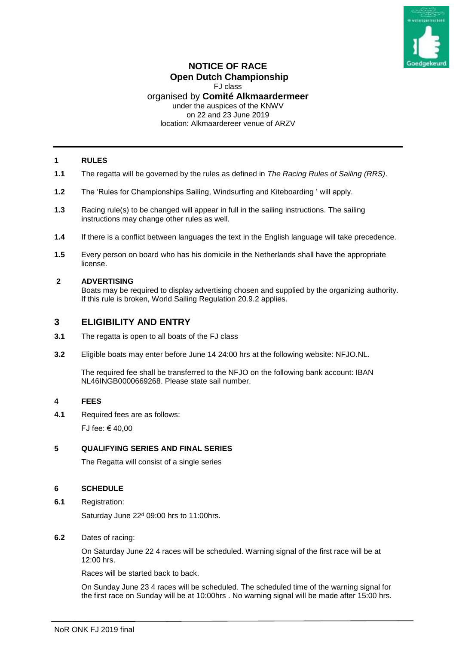

# **NOTICE OF RACE Open Dutch Championship**

FJ class

# organised by **Comité Alkmaardermeer**

under the auspices of the KNWV on 22 and 23 June 2019

location: Alkmaardereer venue of ARZV

## **1 RULES**

- **1.1** The regatta will be governed by the rules as defined in *The Racing Rules of Sailing (RRS)*.
- **1.2** The 'Rules for Championships Sailing, Windsurfing and Kiteboarding ' will apply.
- **1.3** Racing rule(s) to be changed will appear in full in the sailing instructions. The sailing instructions may change other rules as well.
- **1.4** If there is a conflict between languages the text in the English language will take precedence.
- **1.5** Every person on board who has his domicile in the Netherlands shall have the appropriate license.

## **2 ADVERTISING**

Boats may be required to display advertising chosen and supplied by the organizing authority. If this rule is broken, World Sailing Regulation 20.9.2 applies.

# **3 ELIGIBILITY AND ENTRY**

- **3.1** The regatta is open to all boats of the FJ class
- **3.2** Eligible boats may enter before June 14 24:00 hrs at the following website: NFJO.NL.

The required fee shall be transferred to the NFJO on the following bank account: IBAN NL46INGB0000669268. Please state sail number.

# **4 FEES**

**4.1** Required fees are as follows:

FJ fee: € 40,00

## **5 QUALIFYING SERIES AND FINAL SERIES**

The Regatta will consist of a single series

## **6 SCHEDULE**

**6.1** Registration:

Saturday June 22<sup>d</sup> 09:00 hrs to 11:00hrs.

**6.2** Dates of racing:

On Saturday June 22 4 races will be scheduled. Warning signal of the first race will be at 12:00 hrs.

Races will be started back to back.

On Sunday June 23 4 races will be scheduled. The scheduled time of the warning signal for the first race on Sunday will be at 10:00hrs . No warning signal will be made after 15:00 hrs.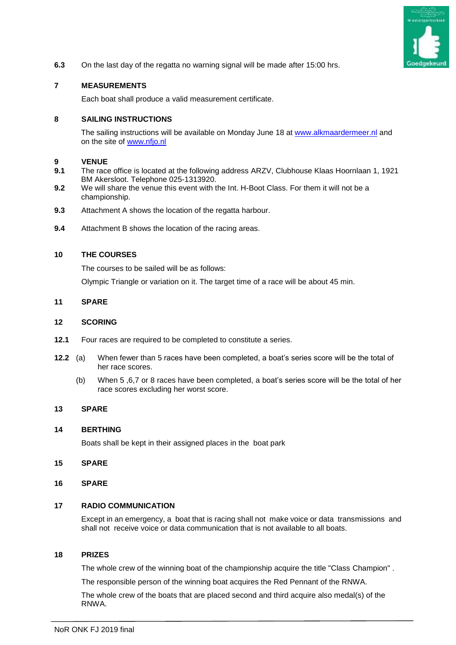

**6.3** On the last day of the regatta no warning signal will be made after 15:00 hrs.

## **7 MEASUREMENTS**

Each boat shall produce a valid measurement certificate.

#### **8 SAILING INSTRUCTIONS**

The sailing instructions will be available on Monday June 18 at [www.alkmaardermeer.nl](http://www.alkmaardermeer.nl/) and on the site of [www.nfjo.nl](http://www.nfjo.nl/)

#### **9 VENUE**

- **9.1** The race office is located at the following address ARZV, Clubhouse Klaas Hoornlaan 1, 1921 BM Akersloot. Telephone 025-1313920.
- **9.2** We will share the venue this event with the Int. H-Boot Class. For them it will not be a championship.
- **9.3** Attachment A shows the location of the regatta harbour.
- **9.4** Attachment B shows the location of the racing areas.

#### **10 THE COURSES**

The courses to be sailed will be as follows:

Olympic Triangle or variation on it. The target time of a race will be about 45 min.

#### **11 SPARE**

#### **12 SCORING**

- **12.1** Four races are required to be completed to constitute a series.
- **12.2** (a) When fewer than 5 races have been completed, a boat's series score will be the total of her race scores.
	- (b) When 5 ,6,7 or 8 races have been completed, a boat's series score will be the total of her race scores excluding her worst score.

### **13 SPARE**

#### **14 BERTHING**

Boats shall be kept in their assigned places in the boat park

- **15 SPARE**
- **16 SPARE**

#### **17 RADIO COMMUNICATION**

Except in an emergency, a boat that is racing shall not make voice or data transmissions and shall not receive voice or data communication that is not available to all boats.

#### **18 PRIZES**

The whole crew of the winning boat of the championship acquire the title "Class Champion" .

The responsible person of the winning boat acquires the Red Pennant of the RNWA.

The whole crew of the boats that are placed second and third acquire also medal(s) of the RNWA.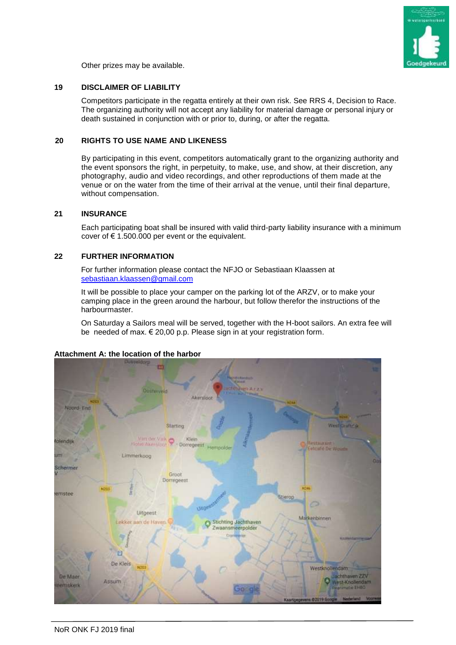

Other prizes may be available.

## **19 DISCLAIMER OF LIABILITY**

Competitors participate in the regatta entirely at their own risk. See RRS 4, Decision to Race. The organizing authority will not accept any liability for material damage or personal injury or death sustained in conjunction with or prior to, during, or after the regatta.

### **20 RIGHTS TO USE NAME AND LIKENESS**

By participating in this event, competitors automatically grant to the organizing authority and the event sponsors the right, in perpetuity, to make, use, and show, at their discretion, any photography, audio and video recordings, and other reproductions of them made at the venue or on the water from the time of their arrival at the venue, until their final departure, without compensation.

### **21 INSURANCE**

Each participating boat shall be insured with valid third-party liability insurance with a minimum cover of  $\epsilon$  1.500.000 per event or the equivalent.

### **22 FURTHER INFORMATION**

For further information please contact the NFJO or Sebastiaan Klaassen at [sebastiaan.klaassen@gmail.com](mailto:sebastiaan.klaassen@gmail.com)

It will be possible to place your camper on the parking lot of the ARZV, or to make your camping place in the green around the harbour, but follow therefor the instructions of the harbourmaster.

On Saturday a Sailors meal will be served, together with the H-boot sailors. An extra fee will be needed of max. € 20,00 p.p. Please sign in at your registration form.

## **Attachment A: the location of the harbor**